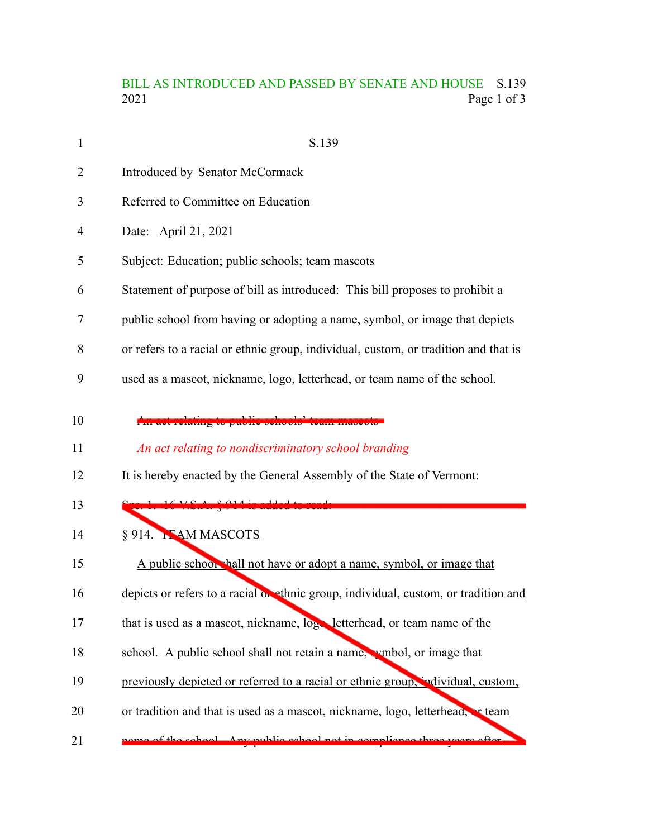## BILL AS INTRODUCED AND PASSED BY SENATE AND HOUSE S.139<br>2021 Page 1 of 3 Page 1 of 3

| $\mathbf{1}$ | S.139                                                                               |
|--------------|-------------------------------------------------------------------------------------|
| 2            | Introduced by Senator McCormack                                                     |
| 3            | Referred to Committee on Education                                                  |
| 4            | Date: April 21, 2021                                                                |
| 5            | Subject: Education; public schools; team mascots                                    |
| 6            | Statement of purpose of bill as introduced: This bill proposes to prohibit a        |
| 7            | public school from having or adopting a name, symbol, or image that depicts         |
| 8            | or refers to a racial or ethnic group, individual, custom, or tradition and that is |
| 9            | used as a mascot, nickname, logo, letterhead, or team name of the school.           |
| 10<br>11     | An act relating to nondiscriminatory school branding                                |
| 12           | It is hereby enacted by the General Assembly of the State of Vermont:               |
| 13           | كالمستحصل ومستمع الممامات<br>$16 \text{V}$ C $\Lambda$ C 014 $\lambda$              |
| 14           | § 914. NAM MASCOTS                                                                  |
| 15           | A public schoor hall not have or adopt a name, symbol, or image that                |
| 16           | depicts or refers to a racial on ethnic group, individual, custom, or tradition and |
| 17           | that is used as a mascot, nickname, log letterhead, or team name of the             |
| 18           | school. A public school shall not retain a name, wmbol, or image that               |
| 19           | previously depicted or referred to a racial or ethnic group, individual, custom,    |
| 20           | or tradition and that is used as a mascot, nickname, logo, letterhead, reteam       |
| 21           | of the school Any public school not in compliance three years often                 |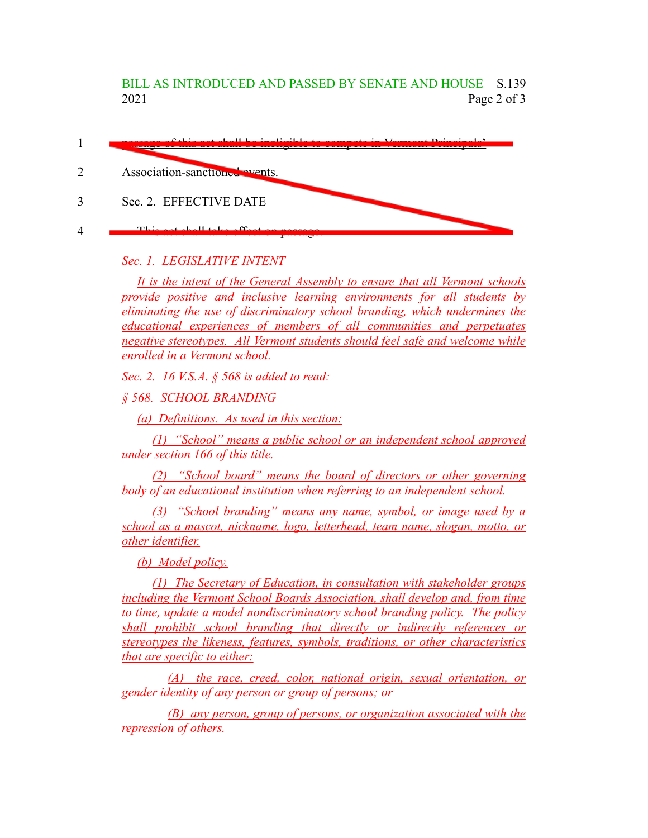BILL AS INTRODUCED AND PASSED BY SENATE AND HOUSE S.139 2021 Page 2 of 3

| $f(1) = f(1) = 1$<br><u> 1980 - Andrej Maria de La Branche de La Branche de La Branche de La Branche de La Branche de La Branche de La</u> |
|--------------------------------------------------------------------------------------------------------------------------------------------|
| Association-sanctioned events.                                                                                                             |
| Sec. 2. EFFECTIVE DATE                                                                                                                     |
| $TL_{1}$ and $TL_{2}$ $TL_{3}$ $TL_{4}$ $TL_{5}$ $TL_{6}$ $TL_{7}$                                                                         |

## *Sec. 1. LEGISLATIVE INTENT*

*It is the intent of the General Assembly to ensure that all Vermont schools provide positive and inclusive learning environments for all students by eliminating the use of discriminatory school branding, which undermines the educational experiences of members of all communities and perpetuates negative stereotypes. All Vermont students should feel safe and welcome while enrolled in a Vermont school.*

*Sec. 2. 16 V.S.A. § 568 is added to read:*

*§ 568. SCHOOL BRANDING*

*(a) Definitions. As used in this section:*

*(1) "School" means a public school or an independent school approved under section 166 of this title.*

*(2) "School board" means the board of directors or other governing body of an educational institution when referring to an independent school.*

*(3) "School branding" means any name, symbol, or image used by a school as a mascot, nickname, logo, letterhead, team name, slogan, motto, or other identifier.*

*(b) Model policy.*

*(1) The Secretary of Education, in consultation with stakeholder groups including the Vermont School Boards Association, shall develop and, from time to time, update a model nondiscriminatory school branding policy. The policy shall prohibit school branding that directly or indirectly references or stereotypes the likeness, features, symbols, traditions, or other characteristics that are specific to either:*

*(A) the race, creed, color, national origin, sexual orientation, or gender identity of any person or group of persons; or*

*(B) any person, group of persons, or organization associated with the repression of others.*